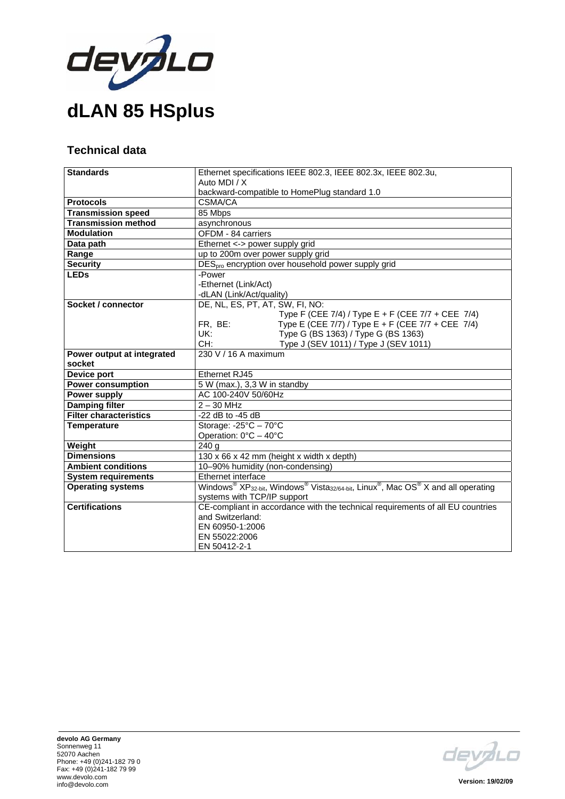

## **Technical data**

| <b>Standards</b>               | Ethernet specifications IEEE 802.3, IEEE 802.3x, IEEE 802.3u,                                                                                              |
|--------------------------------|------------------------------------------------------------------------------------------------------------------------------------------------------------|
|                                | Auto MDI / X                                                                                                                                               |
|                                | backward-compatible to HomePlug standard 1.0                                                                                                               |
| <b>Protocols</b>               | CSMA/CA                                                                                                                                                    |
| <b>Transmission speed</b>      | 85 Mbps                                                                                                                                                    |
| <b>Transmission method</b>     | asynchronous                                                                                                                                               |
| <b>Modulation</b>              | OFDM - 84 carriers                                                                                                                                         |
| Data path                      |                                                                                                                                                            |
|                                | Ethernet <-> power supply grid                                                                                                                             |
| Range                          | up to 200m over power supply grid                                                                                                                          |
| <b>Security</b><br><b>LEDs</b> | DES <sub>pro</sub> encryption over household power supply grid                                                                                             |
|                                | -Power                                                                                                                                                     |
|                                | -Ethernet (Link/Act)                                                                                                                                       |
|                                | -dLAN (Link/Act/quality)                                                                                                                                   |
| Socket / connector             | DE, NL, ES, PT, AT, SW, FI, NO:                                                                                                                            |
|                                | Type F (CEE 7/4) / Type E + F (CEE 7/7 + CEE 7/4)                                                                                                          |
|                                | Type E (CEE 7/7) / Type E + F (CEE 7/7 + CEE 7/4)<br>FR, BE:                                                                                               |
|                                | UK:<br>Type G (BS 1363) / Type G (BS 1363)                                                                                                                 |
|                                | Type J (SEV 1011) / Type J (SEV 1011)<br>CH:                                                                                                               |
| Power output at integrated     | 230 V / 16 A maximum                                                                                                                                       |
| socket                         |                                                                                                                                                            |
| <b>Device port</b>             | Ethernet RJ45                                                                                                                                              |
| <b>Power consumption</b>       | 5 W (max.), 3,3 W in standby                                                                                                                               |
| Power supply                   | AC 100-240V 50/60Hz                                                                                                                                        |
| <b>Damping filter</b>          | $2 - 30$ MHz                                                                                                                                               |
| <b>Filter characteristics</b>  | $-22$ dB to $-45$ dB                                                                                                                                       |
| <b>Temperature</b>             | Storage: $-25^{\circ}C - 70^{\circ}C$                                                                                                                      |
|                                | Operation: $0^{\circ}$ C - 40°C                                                                                                                            |
| Weight                         | 240 <sub>a</sub>                                                                                                                                           |
| <b>Dimensions</b>              | 130 x 66 x 42 mm (height x width x depth)                                                                                                                  |
| <b>Ambient conditions</b>      | 10-90% humidity (non-condensing)                                                                                                                           |
| <b>System requirements</b>     | Ethernet interface                                                                                                                                         |
| <b>Operating systems</b>       | Windows <sup>®</sup> XP <sub>32-bit</sub> , Windows <sup>®</sup> Vista <sub>32/64-bit</sub> , Linux <sup>®</sup> , Mac OS <sup>®</sup> X and all operating |
|                                | systems with TCP/IP support                                                                                                                                |
| <b>Certifications</b>          | CE-compliant in accordance with the technical requirements of all EU countries                                                                             |
|                                | and Switzerland:                                                                                                                                           |
|                                | EN 60950-1:2006                                                                                                                                            |
|                                | EN 55022:2006                                                                                                                                              |
|                                | EN 50412-2-1                                                                                                                                               |